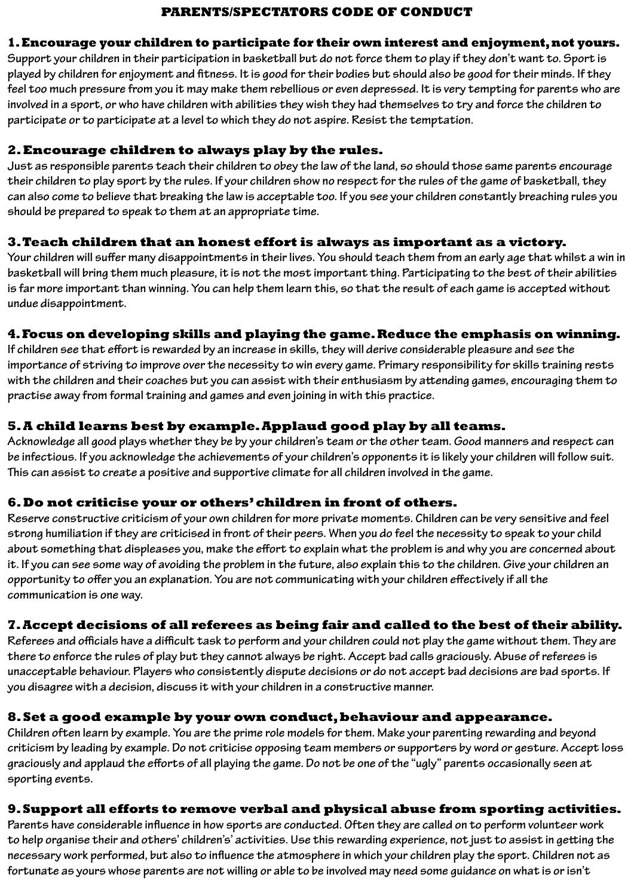### **PARENTS/SPECTATORS CODE OF CONDUCT**

### **1. Encourage your children to participate for their own interest and enjoyment, not yours.**

**Support your children in their participation in basketball but do not force them to play if they don't want to. Sport is played by children for enjoyment and fitness. It is good for their bodies but should also be good for their minds. If they feel too much pressure from you it may make them rebellious or even depressed. It is very tempting for parents who are involved in a sport, or who have children with abilities they wish they had themselves to try and force the children to participate or to participate at a level to which they do not aspire. Resist the temptation.**

### **2. Encourage children to always play by the rules.**

**Just as responsible parents teach their children to obey the law of the land, so should those same parents encourage their children to play sport by the rules. If your children show no respect for the rules of the game of basketball, they can also come to believe that breaking the law is acceptable too. If you see your children constantly breaching rules you should be prepared to speak to them at an appropriate time.**

### **3. Teach children that an honest effort is always as important as a victory.**

**Your children will suffer many disappointments in their lives. You should teach them from an early age that whilst a win in basketball will bring them much pleasure, it is not the most important thing. Participating to the best of their abilities is far more important than winning. You can help them learn this, so that the result of each game is accepted without undue disappointment.**

## **4. Focus on developing skills and playing the game. Reduce the emphasis on winning.**

**If children see that effort is rewarded by an increase in skills, they will derive considerable pleasure and see the importance of striving to improve over the necessity to win every game. Primary responsibility for skills training rests with the children and their coaches but you can assist with their enthusiasm by attending games, encouraging them to practise away from formal training and games and even joining in with this practice.**

## **5. A child learns best by example. Applaud good play by all teams.**

**Acknowledge all good plays whether they be by your children's team or the other team. Good manners and respect can be infectious. If you acknowledge the achievements of your children's opponents it is likely your children will follow suit. This can assist to create a positive and supportive climate for all children involved in the game.**

## **6. Do not criticise your or others' children in front of others.**

**Reserve constructive criticism of your own children for more private moments. Children can be very sensitive and feel strong humiliation if they are criticised in front of their peers. When you do feel the necessity to speak to your child about something that displeases you, make the effort to explain what the problem is and why you are concerned about it. If you can see some way of avoiding the problem in the future, also explain this to the children. Give your children an opportunity to offer you an explanation. You are not communicating with your children effectively if all the communication is one way.**

# **7. Accept decisions of all referees as being fair and called to the best of their ability.**

**Referees and officials have a difficult task to perform and your children could not play the game without them. They are there to enforce the rules of play but they cannot always be right. Accept bad calls graciously. Abuse of referees is unacceptable behaviour. Players who consistently dispute decisions or do not accept bad decisions are bad sports. If you disagree with a decision, discuss it with your children in a constructive manner.**

## **8. Set a good example by your own conduct, behaviour and appearance.**

**Children often learn by example. You are the prime role models for them. Make your parenting rewarding and beyond criticism by leading by example. Do not criticise opposing team members or supporters by word or gesture. Accept loss graciously and applaud the efforts of all playing the game. Do not be one of the "ugly" parents occasionally seen at sporting events.**

## **9. Support all efforts to remove verbal and physical abuse from sporting activities.**

**Parents have considerable influence in how sports are conducted. Often they are called on to perform volunteer work to help organise their and others' children's' activities. Use this rewarding experience, not just to assist in getting the necessary work performed, but also to influence the atmosphere in which your children play the sport. Children not as fortunate as yours whose parents are not willing or able to be involved may need some guidance on what is or isn't**